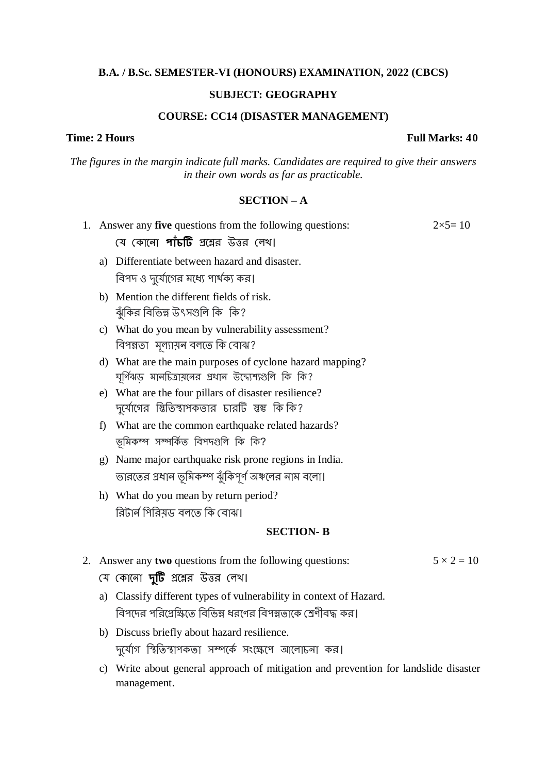# **B.A. / B.Sc. SEMESTER-VI (HONOURS) EXAMINATION, 2022 (CBCS)**

## **SUBJECT: GEOGRAPHY**

### **COURSE: CC14 (DISASTER MANAGEMENT)**

## **Time: 2 Hours Full Marks: 40**

*The figures in the margin indicate full marks. Candidates are required to give their answers in their own words as far as practicable.*

## **SECTION – A**

|                  |                                                                                                                  | $2 \times 5 = 10$<br>1. Answer any five questions from the following questions:                                 |                   |  |
|------------------|------------------------------------------------------------------------------------------------------------------|-----------------------------------------------------------------------------------------------------------------|-------------------|--|
|                  |                                                                                                                  | যে কোনো <b>পাঁচটি</b> প্রশ্নের উত্তর লেখ।                                                                       |                   |  |
|                  | a)                                                                                                               | Differentiate between hazard and disaster.                                                                      |                   |  |
|                  |                                                                                                                  | বিপদ ও দুর্যোগের মধ্যে পার্থক্য কর।                                                                             |                   |  |
|                  | b)                                                                                                               | Mention the different fields of risk.<br>ঝুঁকির বিভিন্ন উৎসগুলি কি  কি?                                         |                   |  |
|                  | $\mathbf{c})$                                                                                                    | What do you mean by vulnerability assessment?<br>বিপন্নতা মূল্যায়ন বলতে কি বোঝ?                                |                   |  |
|                  |                                                                                                                  | d) What are the main purposes of cyclone hazard mapping?<br>ঘূর্ণিঝড় মানচিত্রায়নের প্রধান উদ্যেশ্যগুলি কি কি? |                   |  |
|                  |                                                                                                                  | e) What are the four pillars of disaster resilience?<br>দুর্যোগের স্তিতিস্বাপকতার চারটি স্তম্ভ কি কি?           |                   |  |
|                  | f                                                                                                                | What are the common earthquake related hazards?<br>ভূমিকম্প সম্পৰ্কিত বিপদগুলি কি কি?                           |                   |  |
|                  | g)                                                                                                               | Name major earthquake risk prone regions in India.                                                              |                   |  |
|                  |                                                                                                                  | ভারতের প্রধান ভূমিকম্প ঝুঁকিপূর্ণ অঞ্চলের নাম বলো।                                                              |                   |  |
|                  |                                                                                                                  | h) What do you mean by return period?                                                                           |                   |  |
|                  |                                                                                                                  | রিটার্ন পিরিয়ড বলতে কি বোঝ।                                                                                    |                   |  |
| <b>SECTION-B</b> |                                                                                                                  |                                                                                                                 |                   |  |
|                  |                                                                                                                  | 2. Answer any two questions from the following questions:                                                       | $5 \times 2 = 10$ |  |
|                  |                                                                                                                  | যে কোনো <b>দুটি</b> প্রশ্নের উত্তর লেখ।                                                                         |                   |  |
|                  |                                                                                                                  | a) Classify different types of vulnerability in context of Hazard.                                              |                   |  |
|                  |                                                                                                                  | বিপদের পরিপ্রেক্ষিতে বিভিন্ন ধরণের বিপন্নতাকে শ্রেণীবদ্ধ কর।                                                    |                   |  |
|                  |                                                                                                                  | b) Discuss briefly about hazard resilience.                                                                     |                   |  |
|                  |                                                                                                                  | দুর্যোগ স্থিতিস্থাপকতা সম্পর্কে সংক্ষেপে আলোচনা কর।                                                             |                   |  |
|                  | Write about general approach of mitigation and prevention for landslide disaster<br>$\mathbf{c})$<br>management. |                                                                                                                 |                   |  |